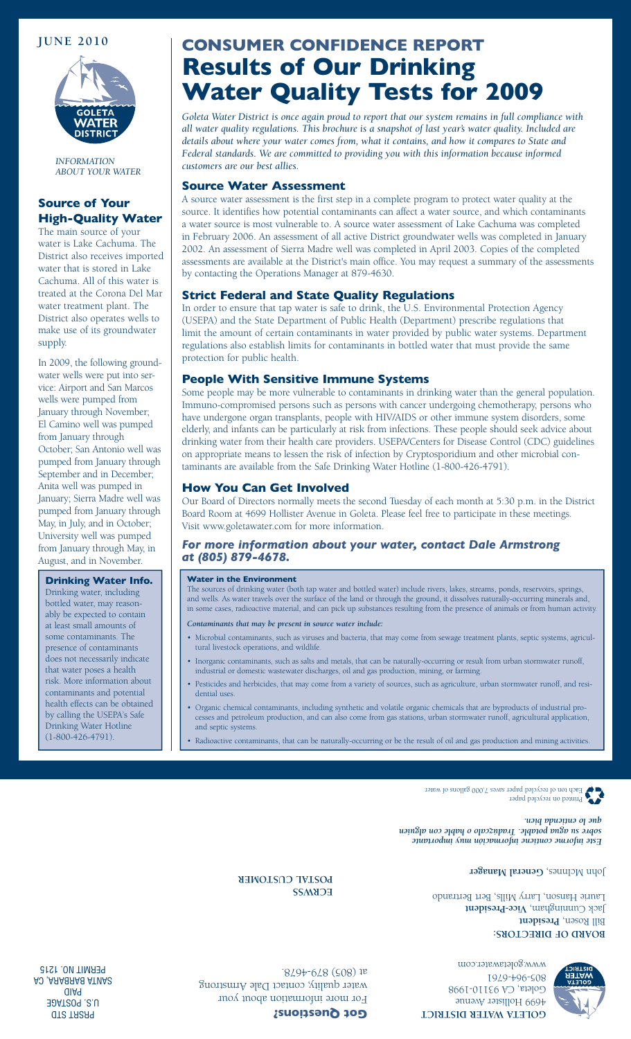

*INFORMATION ABOUT YOUR WATER*

### **Source of Your High-Quality Water**

The main source of your water is Lake Cachuma. The District also receives imported water that is stored in Lake Cachuma. All of this water is treated at the Corona Del Mar water treatment plant. The District also operates wells to make use of its groundwater supply.

In 2009, the following groundwater wells were put into service: Airport and San Marcos wells were pumped from January through November; El Camino well was pumped from January through October; San Antonio well was pumped from January through September and in December; Anita well was pumped in January; Sierra Madre well was pumped from January through May, in July, and in October; University well was pumped from January through May, in August, and in November.

**Drinking Water Info.** Drinking water, including bottled water, may reasonably be expected to contain at least small amounts of some contaminants. The presence of contaminants does not necessarily indicate that water poses a health risk. More information about contaminants and potential health effects can be obtained by calling the USEPA's Safe Drinking Water Hotline (1-800-426-4791).

# **June 2010 CONSUMER CONFIDENCE REPORT Results of Our Drinking Water Quality Tests for 2009**

*Goleta Water District is once again proud to report that our system remains in full compliance with all water quality regulations. This brochure is a snapshot of last year's water quality. Included are details about where your water comes from, what it contains, and how it compares to State and Federal standards. We are committed to providing you with this information because informed customers are our best allies.* 

#### **Source Water Assessment**

A source water assessment is the first step in a complete program to protect water quality at the source. It identifies how potential contaminants can affect a water source, and which contaminants a water source is most vulnerable to. A source water assessment of Lake Cachuma was completed in February 2006. An assessment of all active District groundwater wells was completed in January 2002. An assessment of Sierra Madre well was completed in April 2003. Copies of the completed assessments are available at the District's main office. You may request a summary of the assessments by contacting the Operations Manager at 879-4630.

#### **Strict Federal and State Quality Regulations**

In order to ensure that tap water is safe to drink, the U.S. Environmental Protection Agency (USEPA) and the State Department of Public Health (Department) prescribe regulations that limit the amount of certain contaminants in water provided by public water systems. Department regulations also establish limits for contaminants in bottled water that must provide the same protection for public health.

#### **People With Sensitive Immune Systems**

Some people may be more vulnerable to contaminants in drinking water than the general population. Immuno-compromised persons such as persons with cancer undergoing chemotherapy, persons who have undergone organ transplants, people with HIV/AIDS or other immune system disorders, some elderly, and infants can be particularly at risk from infections. These people should seek advice about drinking water from their health care providers. USEPA/Centers for Disease Control (CDC) guidelines on appropriate means to lessen the risk of infection by Cryptosporidium and other microbial contaminants are available from the Safe Drinking Water Hotline (1-800-426-4791).

#### **How You Can Get Involved**

Our Board of Directors normally meets the second Tuesday of each month at 5:30 p.m. in the District Board Room at 4699 Hollister Avenue in Goleta. Please feel free to participate in these meetings. Visit www.goletawater.com for more information.

#### *For more information about your water, contact Dale Armstrong at (805) 879-4678.*

#### **Water in the Environment**

The sources of drinking water (both tap water and bottled water) include rivers, lakes, streams, ponds, reservoirs, springs, and wells. As water travels over the surface of the land or through the ground, it dissolves naturally-occurring minerals and, in some cases, radioactive material, and can pick up substances resulting from the presence of animals or from human activity.

- *Contaminants that may be present in source water include:*
- Microbial contaminants, such as viruses and bacteria, that may come from sewage treatment plants, septic systems, agricultural livestock operations, and wildlife.
- Inorganic contaminants, such as salts and metals, that can be naturally-occurring or result from urban stormwater runoff, industrial or domestic wastewater discharges, oil and gas production, mining, or farming.
- Pesticides and herbicides, that may come from a variety of sources, such as agriculture, urban stormwater runoff, and residential uses.
- Organic chemical contaminants, including synthetic and volatile organic chemicals that are byproducts of industrial processes and petroleum production, and can also come from gas stations, urban stormwater runoff, agricultural application, and septic systems.
- Radioactive contaminants, that can be naturally-occurring or be the result of oil and gas production and mining activities.



*Este informe contiene información muy importante sobre su agua potable. Tradúzcalo o hable con alguien que lo entienda bien.*

John McInnes, General Manager

**BOARD OF DIRECTORS: Bill Rosen, President** Jack Cunningham, Vice-President Laurie Hanson, Larry Mills, Bert Bertrando

> 805-964-6761 www.goletawater.com

**FOSTAL CUSTOMER** 

4699 Hollister Avenue Goleta, CA 93110-1998

**R DISTRICT e TA WAT e GOL**



For more information about your water quality, contact Dale Armstrong at (805) 879-4678.

**Got Questions?**

**GTS TASA9 JAT209.2.U**  $\overline{a}$ A CARABARA AT UAR PERMIT NO. 1215